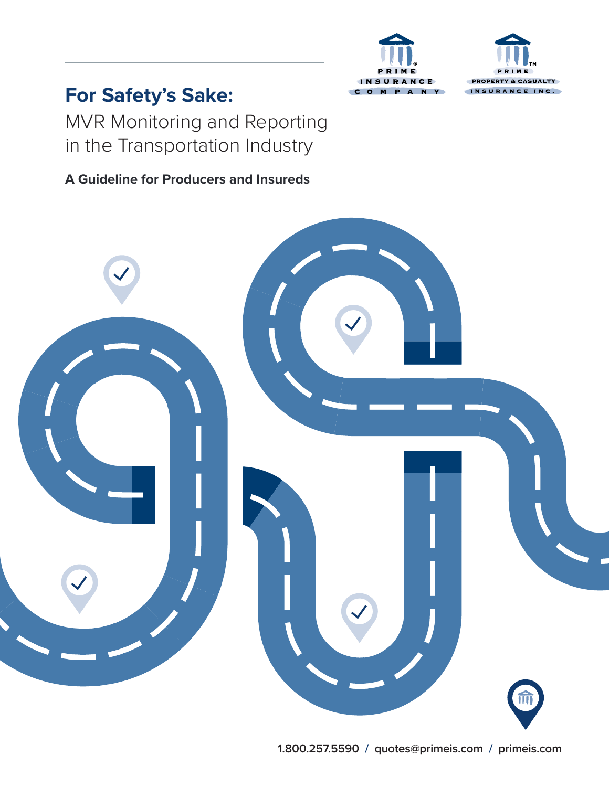



# **For Safety's Sake:**

MVR Monitoring and Reporting in the Transportation Industry

# **A Guideline for Producers and Insureds**

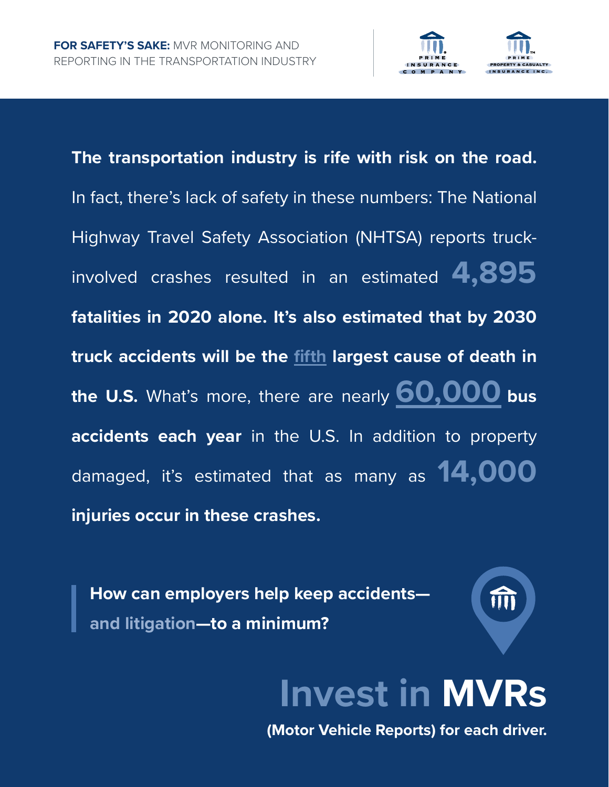

**The transportation industry is rife with risk on the road.** In fact, there's lack of safety in these numbers: The National Highway Travel Safety Association (NHTSA) reports truckinvolved crashes resulted in an estimated **4,895 fatalities in 2020 alone. It's also estimated that by 2030 truck accidents will be the [fifth](https://policyadvice.net/insurance/insights/truck-accident-statistics/) largest cause of death in the U.S.** What's more, there are nearly **[60,000](https://www.paulsoncoletti.com/bus-accident-statistics/) bus accidents each year** in the U.S. In addition to property damaged, it's estimated that as many as **14,000 injuries occur in these crashes.** 

**How can employers help keep accidents and litigation—to a minimum?**

TTTT

# **Invest in MVRs**

**(Motor Vehicle Reports) for each driver.**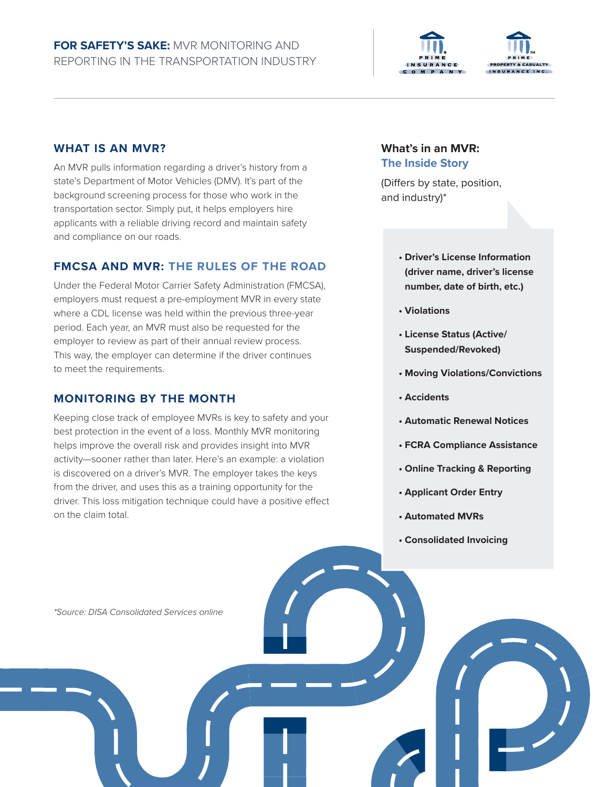



#### **WHAT IS AN MVR?**

An MVR pulls information regarding a driver's history from a state's Department of Motor Vehicles (DMV). It's part of the background screening process for those who work in the transportation sector. Simply put, it helps employers hire applicants with a reliable driving record and maintain safety and compliance on our roads.

#### **FMCSA AND MVR: THE RULES OF THE ROAD**

Under the Federal Motor Carrier Safety Administration (FMCSA), employers must request a pre-employment MVR in every state where a CDL license was held within the previous three-year period. Each year, an MVR must also be requested for the employer to review as part of their annual review process. This way, the employer can determine if the driver continues to meet the requirements.

#### **MONITORING BY THE MONTH**

Keeping close track of employee MVRs is key to safety and your best protection in the event of a loss. Monthly MVR monitoring helps improve the overall risk and provides insight into MVR activity—sooner rather than later. Here's an example: a violation is discovered on a driver's MVR. The employer takes the keys from the driver, and uses this as a training opportunity for the driver. This loss mitigation technique could have a positive effect on the claim total.

#### **What's in an MVR: The Inside Story**

(Differs by state, position, and industry)\*

- **Driver's License Information (driver name, driver's license number, date of birth, etc.)**
- **Violations**
- **License Status (Active/ Suspended/Revoked)**
- **Moving Violations/Convictions**
- **Accidents**
- **Automatic Renewal Notices**
- **FCRA Compliance Assistance**
- **Online Tracking & Reporting**
- **Applicant Order Entry**
- **Automated MVRs**
- **Consolidated Invoicing**

*\*Source: DISA Consolidated Services online*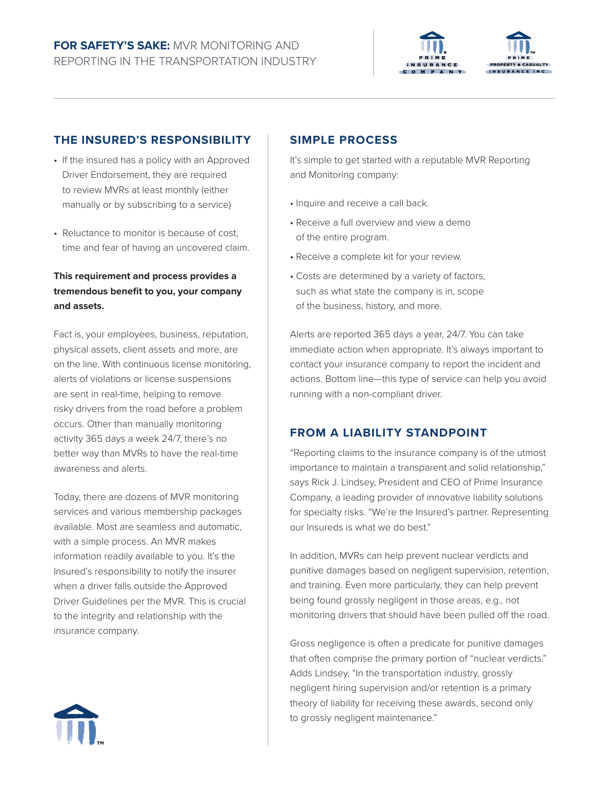



#### **THE INSURED'S RESPONSIBILITY**

- If the insured has a policy with an Approved Driver Endorsement, they are required to review MVRs at least monthly (either manually or by subscribing to a service)
- Reluctance to monitor is because of cost. time and fear of having an uncovered claim.

#### **This requirement and process provides a tremendous benefit to you, your company and assets.**

Fact is, your employees, business, reputation, physical assets, client assets and more, are on the line. With continuous license monitoring, alerts of violations or license suspensions are sent in real-time, helping to remove risky drivers from the road before a problem occurs. Other than manually monitoring activity 365 days a week 24/7, there's no better way than MVRs to have the real-time awareness and alerts.

Today, there are dozens of MVR monitoring services and various membership packages available. Most are seamless and automatic, with a simple process. An MVR makes information readily available to you. It's the Insured's responsibility to notify the insurer when a driver falls outside the Approved Driver Guidelines per the MVR. This is crucial to the integrity and relationship with the insurance company.

#### **SIMPLE PROCESS**

It's simple to get started with a reputable MVR Reporting and Monitoring company:

- Inquire and receive a call back.
- Receive a full overview and view a demo of the entire program.
- Receive a complete kit for your review.
- Costs are determined by a variety of factors, such as what state the company is in, scope of the business, history, and more.

Alerts are reported 365 days a year, 24/7. You can take immediate action when appropriate. It's always important to contact your insurance company to report the incident and actions. Bottom line—this type of service can help you avoid running with a non-compliant driver.

#### **FROM A LIABILITY STANDPOINT**

"Reporting claims to the insurance company is of the utmost importance to maintain a transparent and solid relationship," says Rick J. Lindsey, President and CEO of Prime Insurance Company, a leading provider of innovative liability solutions for specialty risks. "We're the Insured's partner. Representing our Insureds is what we do best."

In addition, MVRs can help prevent nuclear verdicts and punitive damages based on negligent supervision, retention, and training. Even more particularly, they can help prevent being found grossly negligent in those areas, e.g., not monitoring drivers that should have been pulled off the road.

Gross negligence is often a predicate for punitive damages that often comprise the primary portion of "nuclear verdicts." Adds Lindsey, "In the transportation industry, grossly negligent hiring supervision and/or retention is a primary theory of liability for receiving these awards, second only to grossly negligent maintenance."